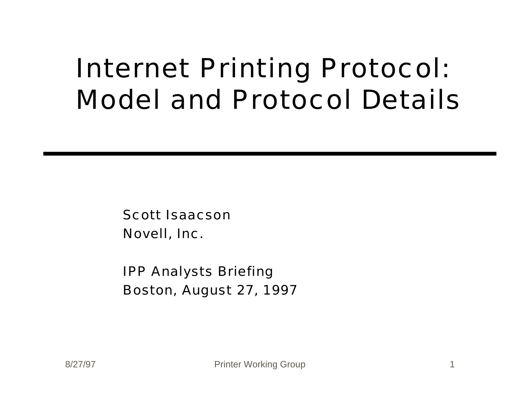#### Internet Printing Protocol: Model and Protocol Details

Scott Isaacson Novell, Inc.

IPP Analysts Briefing Boston, August 27, 1997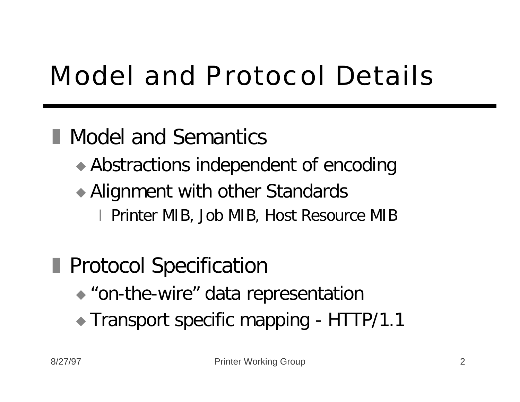# Model and Protocol Details

#### **Nodel and Semantics**

- $\triangle$  Abstractions independent of encoding
- $\rightarrow$  Alignment with other Standards
	- x Printer MIB, Job MIB, Host Resource MIB

#### **Protocol Specification**

- $\bullet$  "on-the-wire" data representation
- Transport specific mapping HTTP/1.1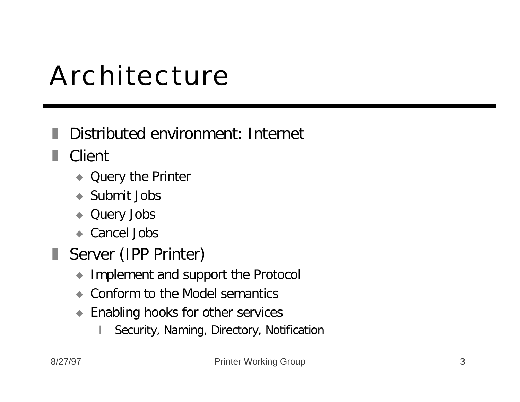#### Architecture

#### Distributed environment: Internet

■ Client

- Query the Printer
- $\bullet$  Submit Jobs
- Query Jobs
- $\bullet$  Cancel Jobs
- Server (IPP Printer)
	- $\bullet$  Implement and support the Protocol
	- Conform to the Model semantics
	- $\blacktriangleright$  Enabling hooks for other services
		- Security, Naming, Directory, Notification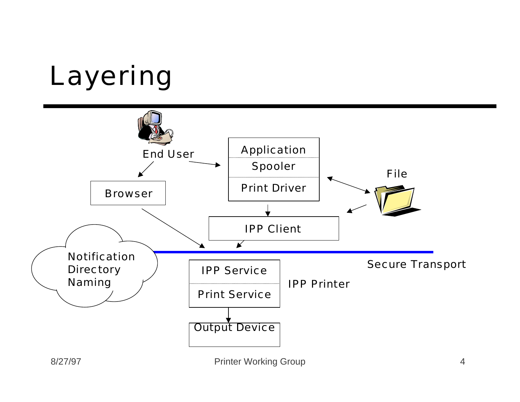### Layering

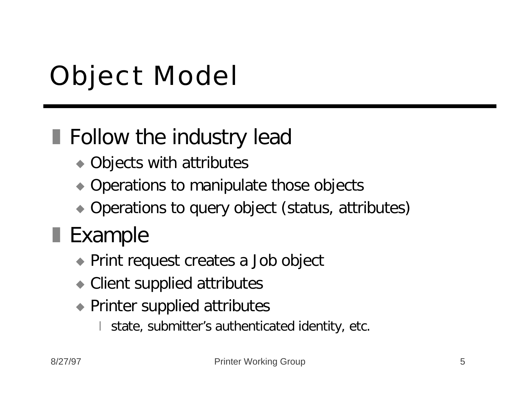# Object Model

#### $\blacksquare$  Follow the industry lead

- $\rightarrow$  Objects with attributes
- $\bullet$  Operations to manipulate those objects
- $\rightarrow$  Operations to query object (status, attributes)

#### $\blacksquare$  Example

- Print request creates a Job object
- $\bullet$  Client supplied attributes
- Printer supplied attributes
	- state, submitter's authenticated identity, etc.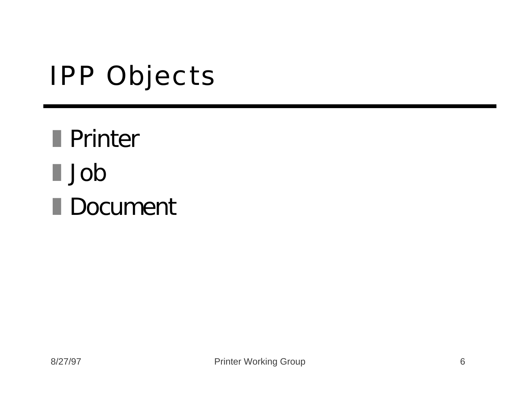#### IPP Objects

**■ Printer** z Job Document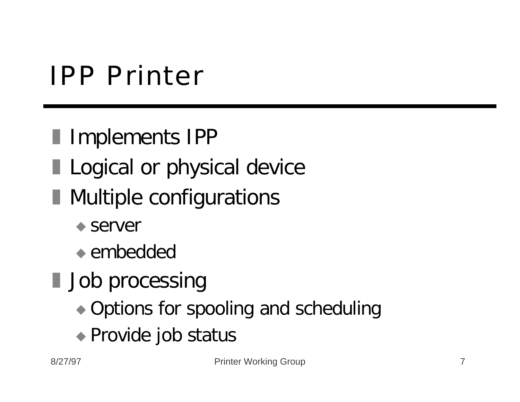#### IPP Printer

- **I** Implements IPP
- **Logical or physical device**
- **Nultiple configurations** 
	- $\bullet$  server
	- $\bullet$  embedded
- **Job processing** 
	- Options for spooling and scheduling
	- ◆ Provide job status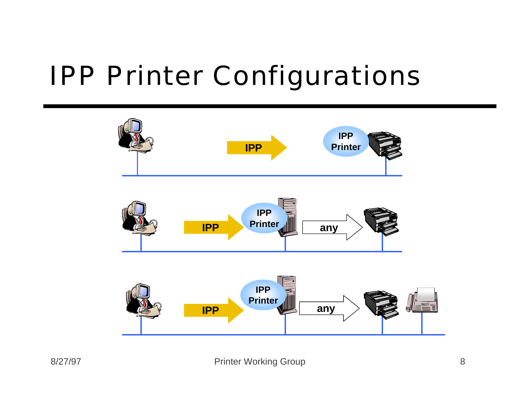#### IPP Printer Configurations

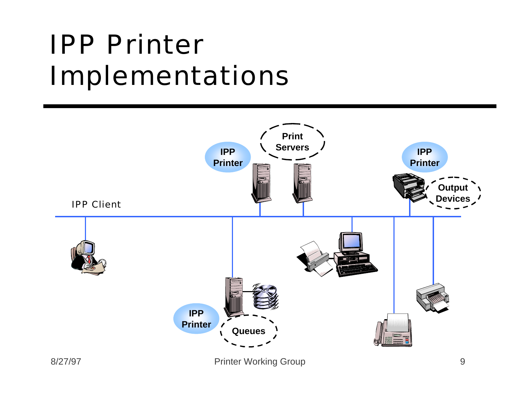#### IPP Printer Implementations

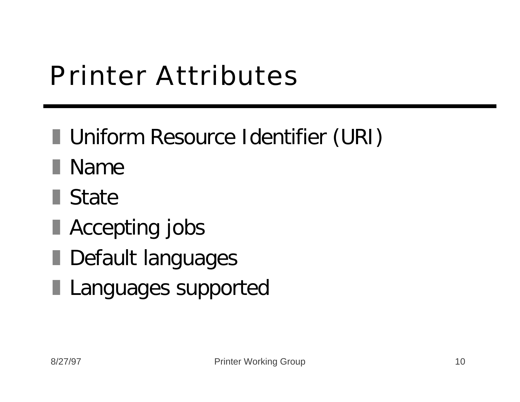### Printer Attributes

- **I** Uniform Resource Identifier (URI)
- **Name**
- $\blacksquare$  State
- **Accepting jobs**
- **L** Default languages
- **Languages supported**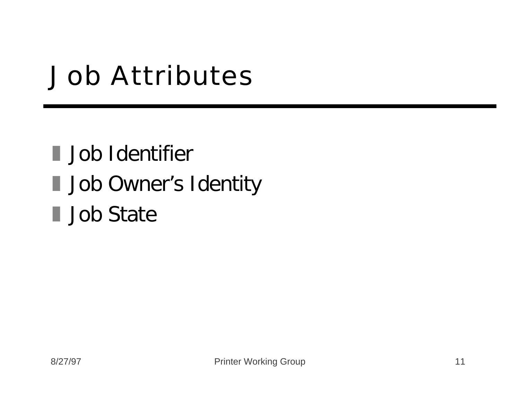#### Job Attributes

I Job Identifier I Job Owner's Identity **Job State**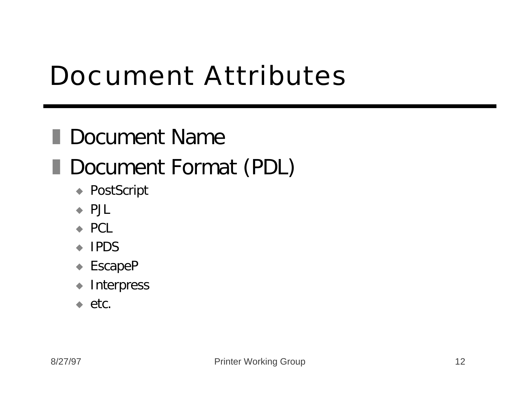#### Document Attributes

#### **Document Name** Document Format (PDL)

- ◆ PostScript
- $\leftrightarrow$  PJL
- $\leftrightarrow$  PCL
- $\leftarrow$  IPDS
- $\triangle$  EscapeP
- $\blacklozenge$  Interpress
- $\leftrightarrow$  etc.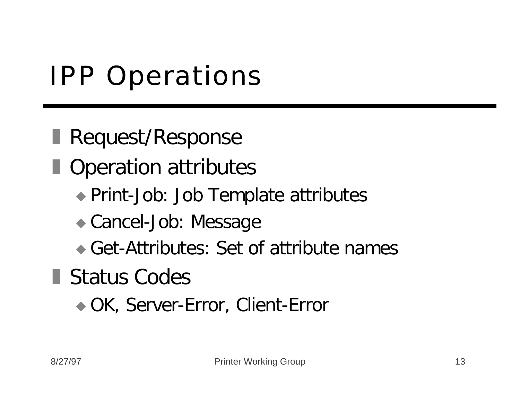### IPP Operations

**Request/Response** 

**Operation attributes** 

- ◆ Print-Job: Job Template attributes
- Cancel-Job: Message
- $\bullet$  Get-Attributes: Set of attribute names

**Status Codes** 

◆ OK, Server-Error, Client-Error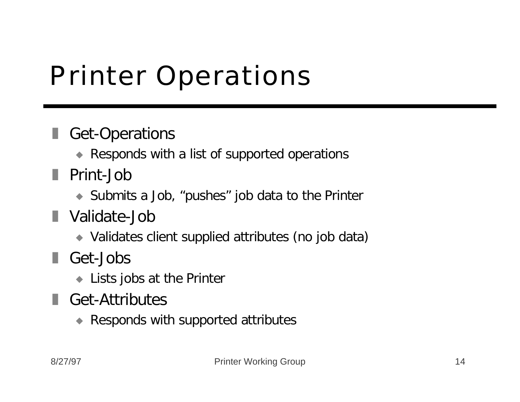### Printer Operations

#### Get-Operations

- Responds with a list of supported operations
- **Print-Job** 
	- $\bullet$  Submits a Job, "pushes" job data to the Printer
- **N** Validate-Job
	- ◆ Validates client supplied attributes (no job data)
- Get-Jobs
	- $\bullet$  Lists jobs at the Printer
- Get-Attributes
	- $\triangle$  Responds with supported attributes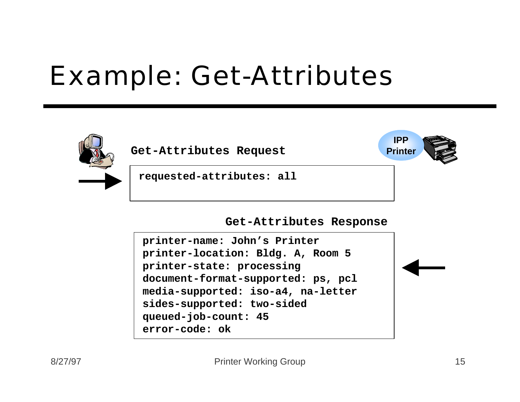#### Example: Get-Attributes



Get-Attributes Request **Printer** 

**requested-attributes: all**

#### **Get-Attributes Response**

```
printer-name: John's Printer
printer-location: Bldg. A, Room 5
printer-state: processing
document-format-supported: ps, pcl
media-supported: iso-a4, na-letter
sides-supported: two-sided
queued-job-count: 45
error-code: ok
```
**IPP**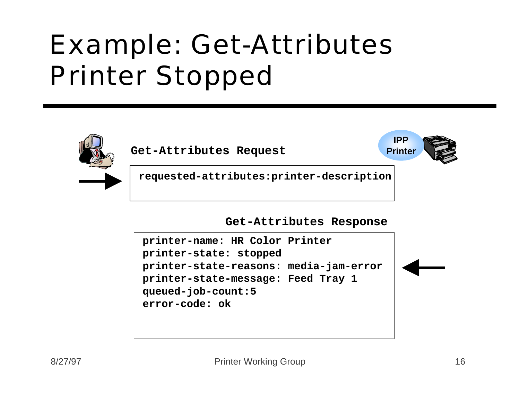### Example: Get-Attributes Printer Stopped



Get-Attributes Request **Printer** 

**IPP**



**requested-attributes:printer-description**

**Get-Attributes Response**

```
printer-name: HR Color Printer
printer-state: stopped
printer-state-reasons: media-jam-error
printer-state-message: Feed Tray 1
queued-job-count:5
error-code: ok
```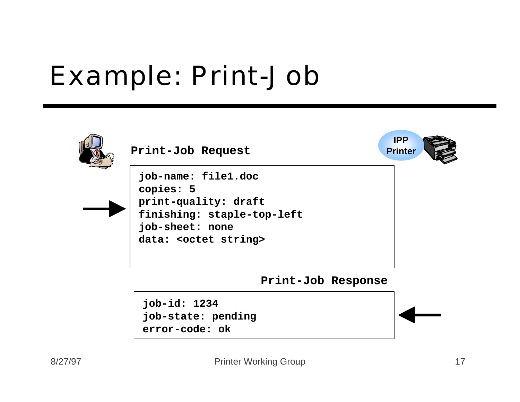#### Example: Print-Job



**job-id: 1234 job-state: pending error-code: ok**

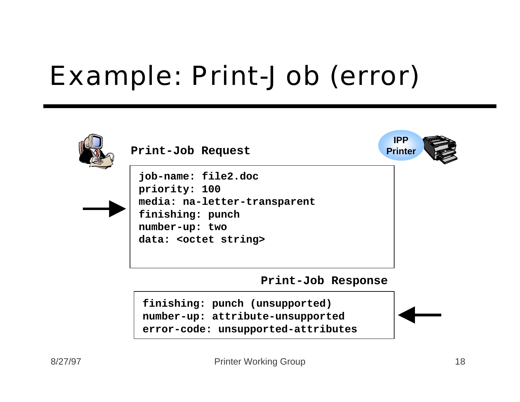### Example: Print-Job (error)

| Print-Job Request                                                                                                                   | <b>IPP</b><br><b>Printer</b> |
|-------------------------------------------------------------------------------------------------------------------------------------|------------------------------|
| job-name: file2.doc<br>priority: 100<br>media: na-letter-transparent<br>finishing: punch<br>number-up: two<br>data: < octet string> |                              |
| Print-Job Response                                                                                                                  |                              |

**finishing: punch (unsupported) number-up: attribute-unsupported error-code: unsupported-attributes**

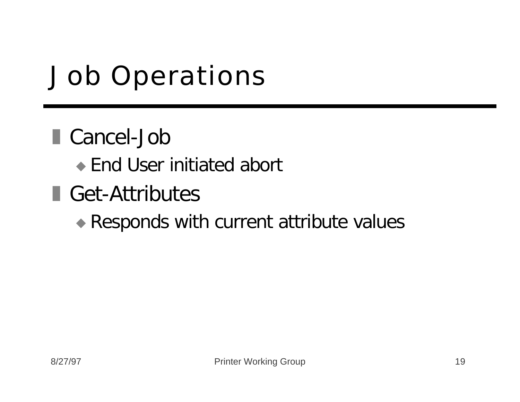### Job Operations

#### ■ Cancel-Job

- $\bullet$  End User initiated abort
- Get-Attributes

#### $\triangle$  Responds with current attribute values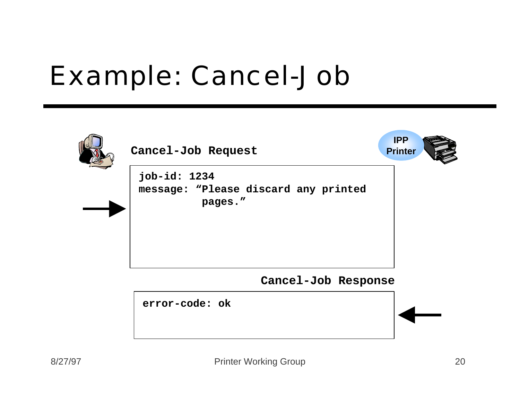#### Example: Cancel-Job

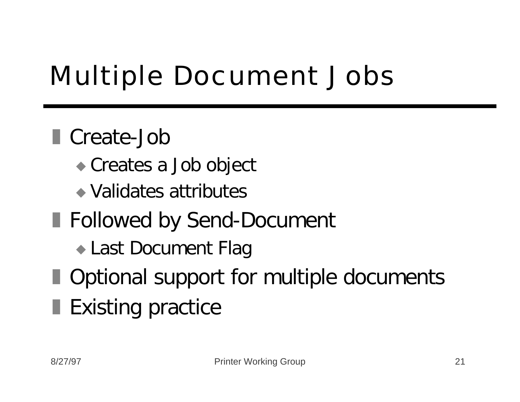# Multiple Document Jobs

#### ■ Create-Job

- Creates a Job object
- $\bullet$  Validates attributes
- **Followed by Send-Document** 
	- Last Document Flag
- **Dependicule Optional support for multiple documents**
- Existing practice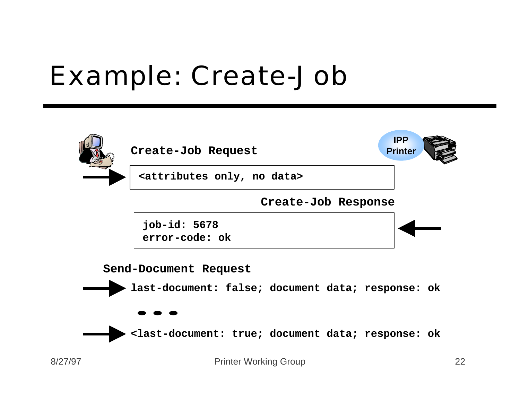#### Example: Create-Job

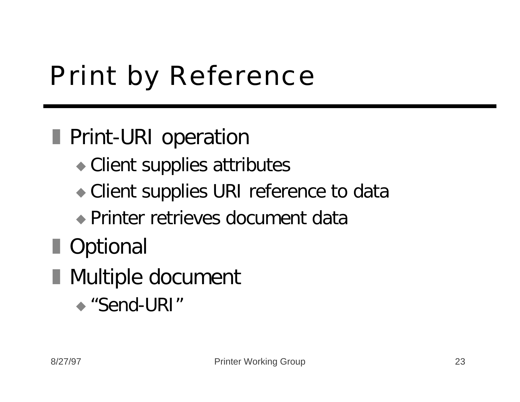# Print by Reference

#### **Fint-URI operation**

- $\bullet$  Client supplies attributes
- Client supplies URI reference to data
- $\rightarrow$  Printer retrieves document data
- **D** Optional
- Multiple document
	- $\triangle$  "Send-URI"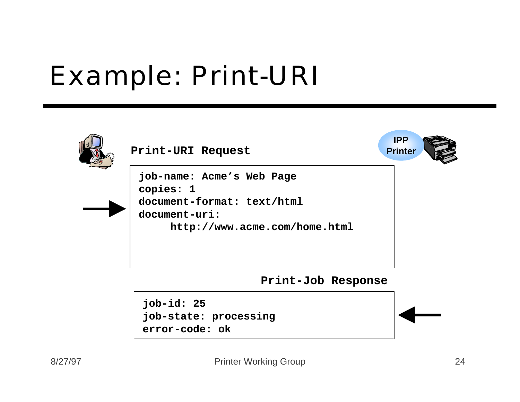#### Example: Print-URI

| Print-URI Request                                                                                                      | <b>IPP</b><br><b>Printer</b> |
|------------------------------------------------------------------------------------------------------------------------|------------------------------|
| job-name: Acme's Web Page<br>copies: 1<br>document-format: text/html<br>document-uri:<br>http://www.acme.com/home.html |                              |

**Print-Job Response**

**job-id: 25 job-state: processing error-code: ok**



 $\llbracket 0$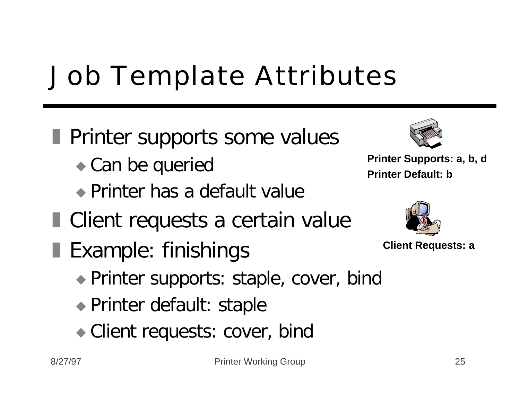### Job Template Attributes

- **Printer supports some values** 
	- $\bullet$  Can be queried
	- $\bullet$  Printer has a default value
- Client requests a certain value
- **Example: finishings** 
	- Printer supports: staple, cover, bind
	- $\rightarrow$  Printer default: staple
	- Client requests: cover, bind



**Printer Supports: a, b, d Printer Default: b**



```
Client Requests: a
```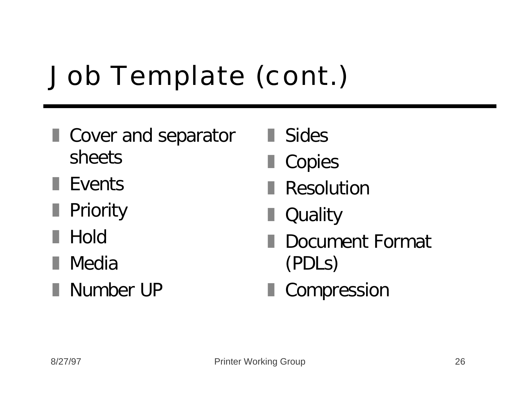# Job Template (cont.)

- **I** Cover and separator sheets
- $\blacksquare$  Events
- **Priority**
- **Hold**
- **■** Media
- **Number UP**
- **■** Sides
- Copies
- Resolution
- Quality
- Document Format (PDLs)
- **Compression**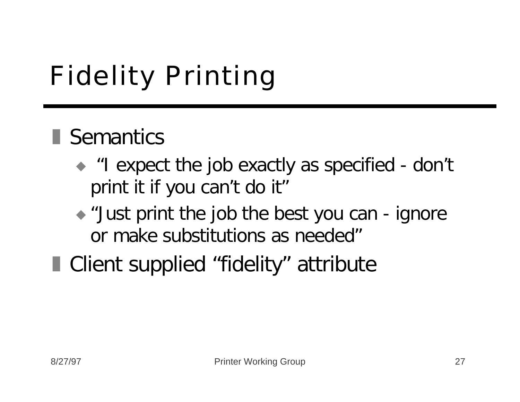# Fidelity Printing

#### **Semantics**

- $\bullet$  "I expect the job exactly as specified don't print it if you can't do it"
- $\rightarrow$  "Just print the job the best you can ignore or make substitutions as needed"
- Client supplied "fidelity" attribute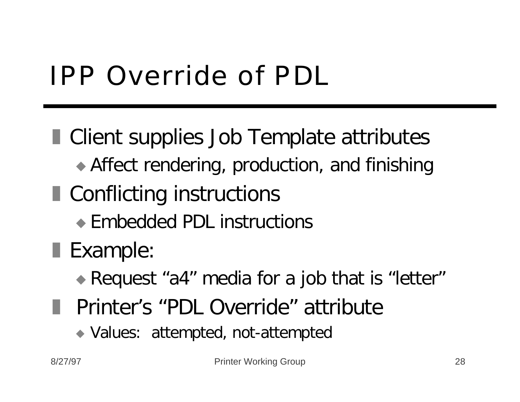# IPP Override of PDL

**E** Client supplies Job Template attributes  $\rightarrow$  Affect rendering, production, and finishing ■ Conflicting instructions  $\bullet$  Embedded PDL instructions **Example:** Request "a4" media for a job that is "letter" **F** Printer's "PDL Override" attribute

- - Values: attempted, not-attempted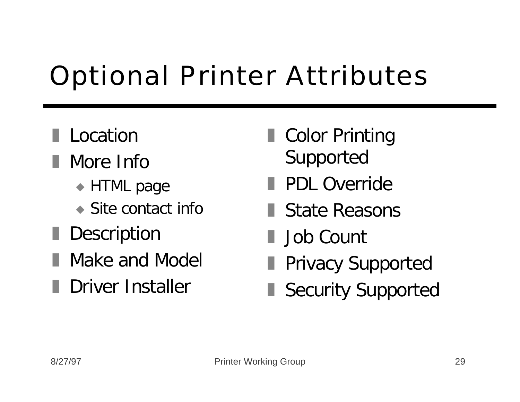# Optional Printer Attributes

#### **Location**

- **Nore Info** 
	- $\triangle$  HTML page
	- $\bullet$  Site contact info
- Description
- Make and Model
- **Driver Installer**
- Color Printing Supported
- **PDL Override**
- **State Reasons**
- I Job Count
- **Privacy Supported**
- Security Supported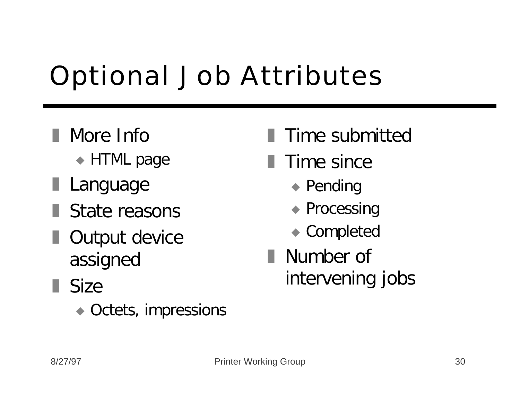# Optional Job Attributes

- **Nore Info** 
	- $\triangle$  HTML page
- **Language**
- **State reasons**
- **Output device** assigned
- $\blacksquare$  Size
	- $\bullet$  Octets, impressions
- Time submitted
- $\blacksquare$  Time since
	- $\bullet$  Pending
	- $\triangle$  Processing
	- $\bullet$  Completed
- Number of intervening jobs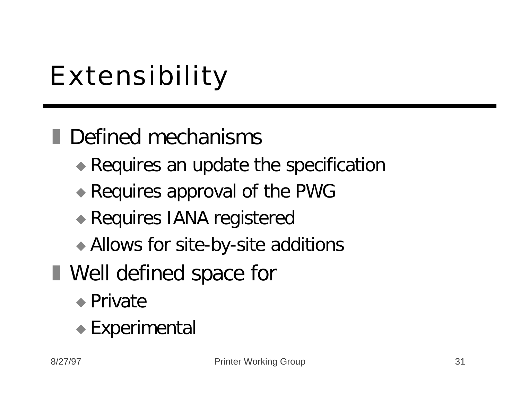# Extensibility

**Defined mechanisms** 

- $\rightarrow$  Requires an update the specification
- $\bullet$  Requires approval of the PWG
- Requires IANA registered
- Allows for site-by-site additions
- **Nell defined space for** 
	- $\bullet$  Private
	- $\bullet$  Experimental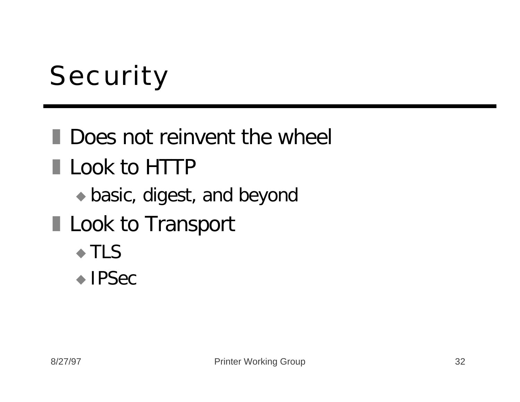# **Security**

**Does not reinvent the wheel Look to HTTP**  $\bullet$  basic, digest, and beyond **Look to Transport**  $\triangle$  TLS  $\bullet$  IPSec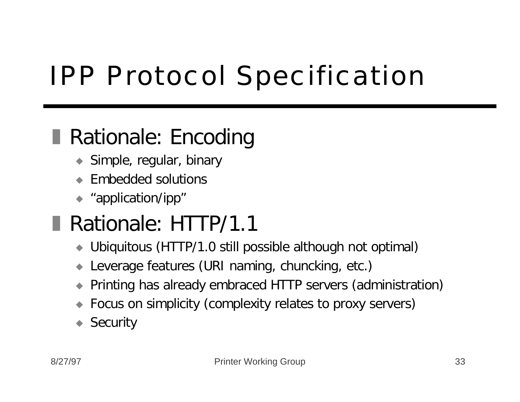# IPP Protocol Specification

#### **Rationale: Encoding**

- $\blacktriangleright$  Simple, regular, binary
- Embedded solutions
- $\leftrightarrow$  "application/ipp"

#### Rationale: HTTP/1.1

- ◆ Ubiquitous (HTTP/1.0 still possible although not optimal)
- Leverage features (URI naming, chuncking, etc.)
- u Printing has already embraced HTTP servers (administration)
- Focus on simplicity (complexity relates to proxy servers)
- $\triangle$  Security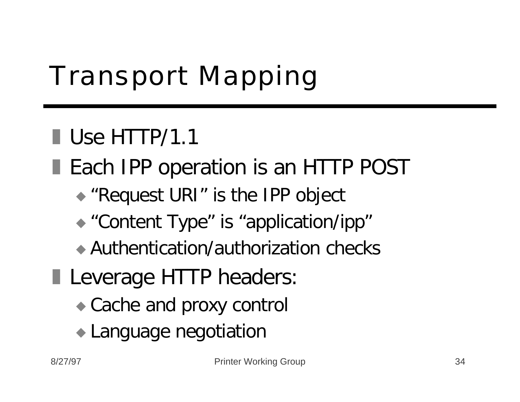# Transport Mapping

#### $\blacksquare$  Use HTTP/1.1

- **Each IPP operation is an HTTP POST** 
	- $\triangle$  "Request URI" is the IPP object
	- "Content Type" is "application/ipp"
	- $\rightarrow$  Authentication/authorization checks
- **Leverage HTTP headers:** 
	- $\bullet$  Cache and proxy control
	- Language negotiation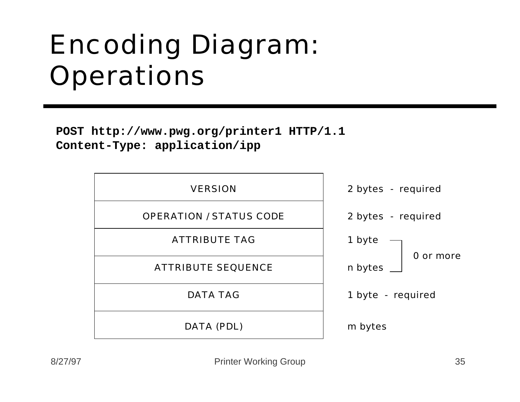#### Encoding Diagram: **Operations**

**POST http://www.pwg.org/printer1 HTTP/1.1 Content-Type: application/ipp**

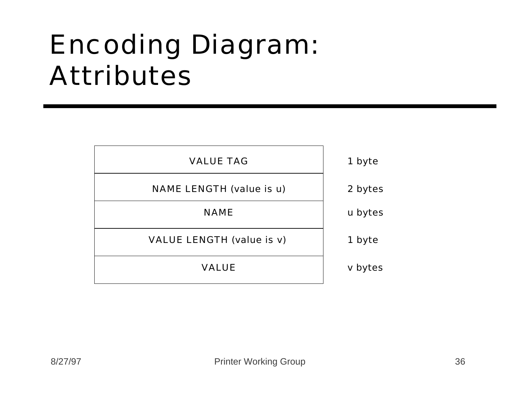#### Encoding Diagram: Attributes

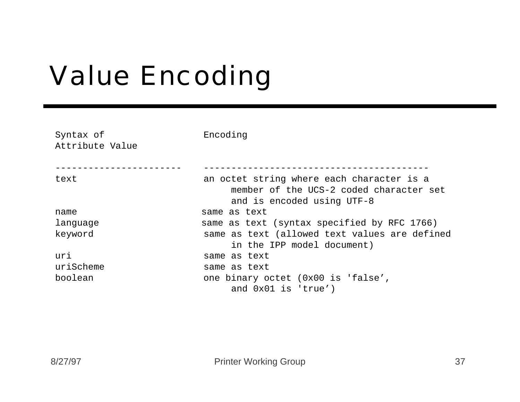# Value Encoding

| Syntax of<br>Attribute Value | Encoding                                                                                                           |
|------------------------------|--------------------------------------------------------------------------------------------------------------------|
| text                         | an octet string where each character is a<br>member of the UCS-2 coded character set<br>and is encoded using UTF-8 |
| name                         | same as text                                                                                                       |
| language                     | same as text (syntax specified by RFC 1766)                                                                        |
| keyword                      | same as text (allowed text values are defined<br>in the IPP model document)                                        |
| uri                          | same as text                                                                                                       |
| uriScheme                    | same as text                                                                                                       |
| boolean                      | one binary octet (0x00 is 'false',                                                                                 |
|                              | and 0x01 is 'true')                                                                                                |